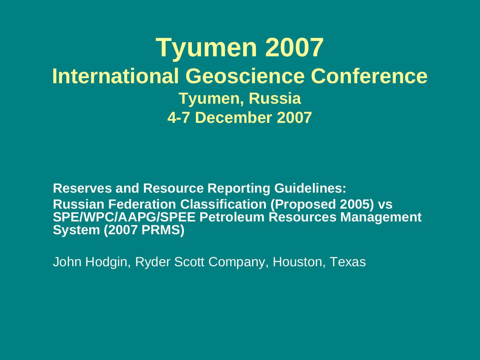**Tyumen 2007 International Geoscience Conference Tyumen, Russia 4-7 December 2007**

**Reserves and Resource Reporting Guidelines: Russian Federation Classification (Proposed 2005) vs SPE/WPC/AAPG/SPEE Petroleum Resources Management System (2007 PRMS)**

John Hodgin, Ryder Scott Company, Houston, Texas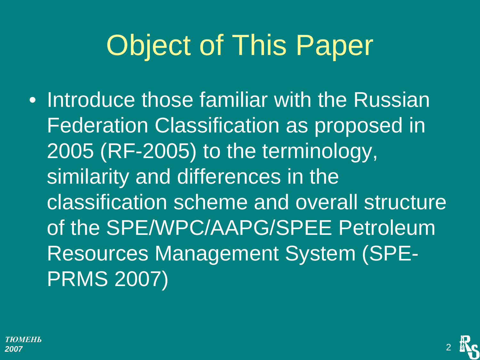# Object of This Paper

• Introduce those familiar with the Russian Federation Classification as proposed in 2005 (RF-2005) to the terminology, similarity and differences in the classification scheme and overall structure of the SPE/WPC/AAPG/SPEE Petroleum Resources Management System (SPE-PRMS 2007)

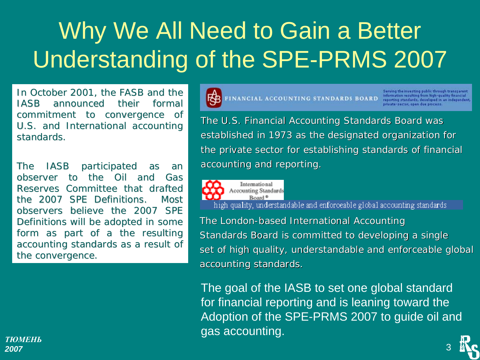### Why We All Need to Gain a Better Understanding of the SPE-PRMS 2007

In October 2001, the FASB and the IASB announced their formal IASB announced their formal commitment to convergence of U.S. and International accounting standards.

The IASB participated as an observer to the Oil and Gas Reserves Committee that drafted the 2007 SPE Definitions. Most observers believe the 2007 SPE Definitions will be adopted in some form as part of a the resulting accounting standards as a result of the convergence.



**BE FINANCIAL ACCOUNTING STANDARDS BOARD** 

Serving the investing public through transparent<br>Information resulting from high-quality financial<br>reporting standards, developed in an independent, private-sector, open due process.

3

The U.S. Financial Accounting Standards Board was established in 1973 as the designated organization for the private sector for establishing standards of financial accounting and reporting.



high quality, understandable and enforceable global accounting standards

The London-based International Accounting Standards Board is committed to developing a single set of high quality, understandable and enforceable global accounting standards.

The goal of the IASB to set one global standard for financial reporting and is leaning toward the Adoption of the SPE-PRMS 2007 to guide oil and gas accounting.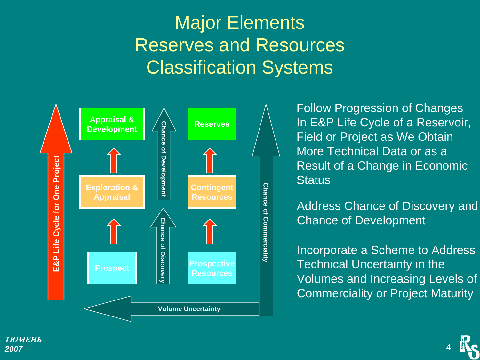#### Major Elements Reserves and Resources Classification Systems



Follow Progression of Changes In E&P Life Cycle of a Reservoir, Field or Project as We Obtain More Technical Data or as aResult of a Change in Economic **Status** 

Address Chance of Discovery and Chance of Development

Incorporate a Scheme to Address Technical Uncertainty in the Volumes and Increasing Levels of Commerciality or Project Maturity

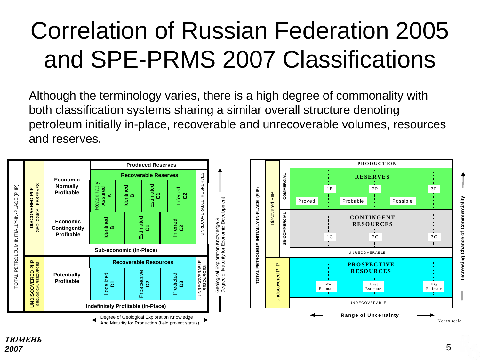### Correlation of Russian Federation 2005 and SPE-PRMS 2007 Classifications

Although the terminology varies, there is a high degree of commonality with both classification systems sharing a similar overall structure denoting petroleum initially in-place, recoverable and unrecoverable volumes, resources and reserves.



And Maturity for Production (field project status)

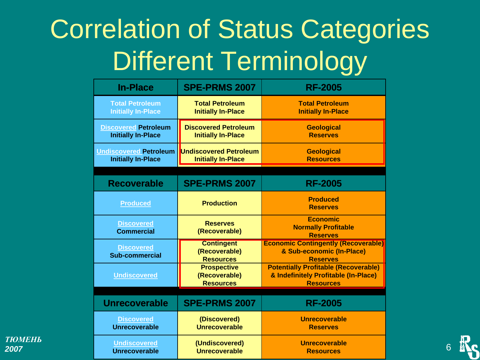### Correlation of Status Categories Different Terminology

| <b>In-Place</b>                                            | <b>SPE-PRMS 2007</b>                                       | <b>RF-2005</b>                                                                                          |  |
|------------------------------------------------------------|------------------------------------------------------------|---------------------------------------------------------------------------------------------------------|--|
| <b>Total Petroleum</b><br><b>Initially In-Place</b>        | <b>Total Petroleum</b><br><b>Initially In-Place</b>        | <b>Total Petroleum</b><br><b>Initially In-Place</b>                                                     |  |
| <b>Discovered Petroleum</b><br><b>Initially In-Place</b>   | <b>Discovered Petroleum</b><br><b>Initially In-Place</b>   | <b>Geological</b><br><b>Reserves</b>                                                                    |  |
| <b>Undiscovered Petroleum</b><br><b>Initially In-Place</b> | <b>Undiscovered Petroleum</b><br><b>Initially In-Place</b> | <b>Geological</b><br><b>Resources</b>                                                                   |  |
|                                                            |                                                            |                                                                                                         |  |
| <b>Recoverable</b>                                         | <b>SPE-PRMS 2007</b>                                       | <b>RF-2005</b>                                                                                          |  |
| <b>Produced</b>                                            | <b>Production</b>                                          | <b>Produced</b><br><b>Reserves</b>                                                                      |  |
| <b>Discovered</b><br><b>Commercial</b>                     | <b>Reserves</b><br>(Recoverable)                           | <b>Economic</b><br><b>Normally Profitable</b><br><b>Reserves</b>                                        |  |
| <b>Discovered</b><br><b>Sub-commercial</b>                 | <b>Contingent</b><br>(Recoverable)<br><b>Resources</b>     | <b>Economic Contingently (Recoverable)</b><br>& Sub-economic (In-Place)<br><b>Reserves</b>              |  |
| <b>Undiscovered</b>                                        | <b>Prospective</b><br>(Recoverable)<br><b>Resources</b>    | <b>Potentially Profitable (Recoverable)</b><br>& Indefinitely Profitable (In-Place)<br><b>Resources</b> |  |
|                                                            |                                                            |                                                                                                         |  |
| <b>Unrecoverable</b>                                       | <b>SPE-PRMS 2007</b>                                       | <b>RF-2005</b>                                                                                          |  |
| <b>Discovered</b><br><b>Unrecoverable</b>                  | (Discovered)<br><b>Unrecoverable</b>                       | Unrecoverable<br><b>Reserves</b>                                                                        |  |
| <b>Undiscovered</b><br><b>Unrecoverable</b>                | (Undiscovered)<br><b>Unrecoverable</b>                     | <b>Unrecoverable</b><br><b>Resources</b>                                                                |  |

6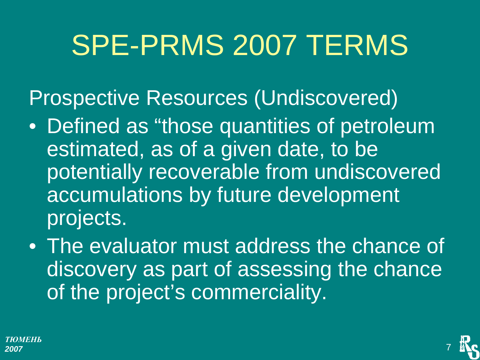# SPE-PRMS 2007 TERMS

Prospective Resources (Undiscovered)

- Defined as "those quantities of petroleum estimated, as of a given date, to be potentially recoverable from undiscovered accumulations by future development projects.
- The evaluator must address the chance of discovery as part of assessing the chance of the project's commerciality.

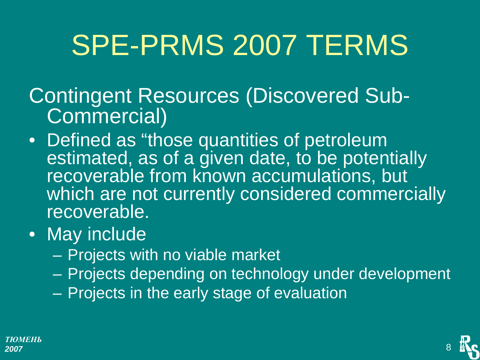# SPE-PRMS 2007 TERMS

Contingent Resources (Discovered Sub-Commercial)

- Defined as "those quantities of petroleum estimated, as of a given date, to be potentially recoverable from known accumulations, but which are not currently considered commercially recoverable.
- May include
	- $\mathcal{L}_{\mathcal{A}}$ Projects with no viable market
	- Projects depending on technology under development
	- Projects in the early stage of evaluation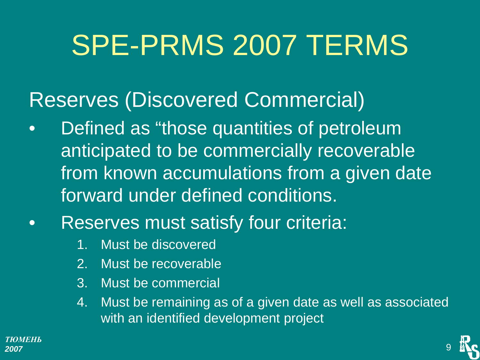# SPE-PRMS 2007 TERMS

#### Reserves (Discovered Commercial)

- $\bullet$  Defined as "those quantities of petroleum anticipated to be commercially recoverable from known accumulations from a given date forward under defined conditions.
- $\bullet$  Reserves must satisfy four criteria:
	- 1. Must be discovered
	- 2. Must be recoverable
	- 3. Must be commercial
	- 4. Must be remaining as of a given date as well as associated with an identified development project

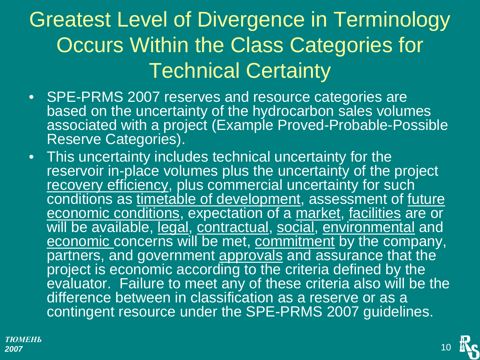### Greatest Level of Divergence in Terminology Occurs Within the Class Categories for Technical Certainty

- SPE-PRMS 2007 reserves and resource categories are based on the uncertainty of the hydrocarbon sales volumes associated with a project (Example Proved-Probable-Possible Reserve Categories).
- This uncertainty includes technical uncertainty for the reservoir in-place volumes plus the uncertainty of the project recovery efficiency, plus commercial uncertainty for such conditions as timetable of development, assessment of future economic conditions, expectation of a market, facilities are or will be available, legal, contractual, social, environmental and economic concerns will be met, commitment by the company, partners, and government approvals and assurance that the project is economic according to the criteria defined by the evaluator. Failure to meet any of these criteria also will be the difference between in classification as a reserve or as a contingent resource under the SPE-PRMS 2007 guidelines.

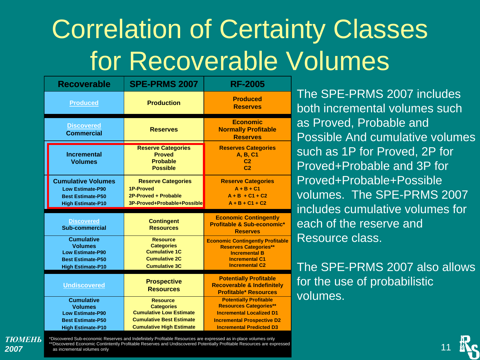## Correlation of Certainty Classes for Recoverable Volumes

| <b>Recoverable</b>                                                                                                     | <b>SPE-PRMS 2007</b>                                                                                                                         | <b>RF-2005</b>                                                                                                                                                            |  |
|------------------------------------------------------------------------------------------------------------------------|----------------------------------------------------------------------------------------------------------------------------------------------|---------------------------------------------------------------------------------------------------------------------------------------------------------------------------|--|
| <b>Produced</b>                                                                                                        | <b>Production</b>                                                                                                                            | <b>Produced</b><br><b>Reserves</b>                                                                                                                                        |  |
| <b>Discovered</b><br><b>Commercial</b>                                                                                 | <b>Reserves</b>                                                                                                                              | <b>Economic</b><br><b>Normally Profitable</b><br><b>Reserves</b>                                                                                                          |  |
| <b>Incremental</b><br><b>Volumes</b>                                                                                   | <b>Reserve Categories</b><br><b>Proved</b><br><b>Probable</b><br><b>Possible</b>                                                             | <b>Reserves Categories</b><br>A, B, C1<br>C <sub>2</sub><br>C <sub>2</sub>                                                                                                |  |
| <b>Cumulative Volumes</b><br><b>Low Estimate-P90</b><br><b>Best Estimate-P50</b><br><b>High Estimate-P10</b>           | <b>Reserve Categories</b><br><b>1P-Proved</b><br>2P-Proved + Probable<br>3P-Proved+Probable+Possible                                         | <b>Reserve Categories</b><br>$A + B + C1$<br>$A + B + C1 + C2$<br>$A + B + C1 + C2$                                                                                       |  |
| <b>Discovered</b><br>Sub-commercial                                                                                    | <b>Contingent</b><br><b>Resources</b>                                                                                                        | <b>Economic Contingently</b><br>Profitable & Sub-economic*<br><b>Reserves</b>                                                                                             |  |
| <b>Cumulative</b><br><b>Volumes</b><br><b>Low Estimate-P90</b><br><b>Best Estimate-P50</b><br><b>High Estimate-P10</b> | <b>Resource</b><br><b>Categories</b><br><b>Cumulative 1C</b><br><b>Cumulative 2C</b><br><b>Cumulative 3C</b>                                 | <b>Economic Contingently Profitable</b><br><b>Reserves Categories**</b><br><b>Incremental B</b><br><b>Incremental C1</b><br><b>Incremental C2</b>                         |  |
| <b>Undiscovered</b>                                                                                                    | <b>Prospective</b><br><b>Resources</b>                                                                                                       | <b>Potentially Profitable</b><br><b>Recoverable &amp; Indefinitely</b><br><b>Profitable* Resources</b>                                                                    |  |
| <b>Cumulative</b><br><b>Volumes</b><br><b>Low Estimate-P90</b><br><b>Best Estimate-P50</b><br><b>High Estimate-P10</b> | <b>Resource</b><br><b>Categories</b><br><b>Cumulative Low Estimate</b><br><b>Cumulative Best Estimate</b><br><b>Cumulative High Estimate</b> | <b>Potentially Profitable</b><br><b>Resources Categories**</b><br><b>Incremental Localized D1</b><br><b>Incremental Prospective D2</b><br><b>Incremental Predicted D3</b> |  |

*ТЮМЕНЬ2007*

\*Discovered Sub-economic Reserves and Indefinitely Profitable Resources are expressed as in-place volumes only \*\*Discovered Economic Contintently Profitable Reserves and Undiscovered Potentially Profitable Resources are expressed as incremental volumes only

The SPE-PRMS 2007 includes both incremental volumes suchas Proved, Probable and Possible And cumulative volumessuch as 1P for Proved, 2P for Proved+Probable and 3P for Proved+Probable+Possible volumes. The SPE-PRMS 2007includes cumulative volumes foreach of the reserve and Resource class.

The SPE-PRMS 2007 also allowsfor the use of probabilistic volumes.

11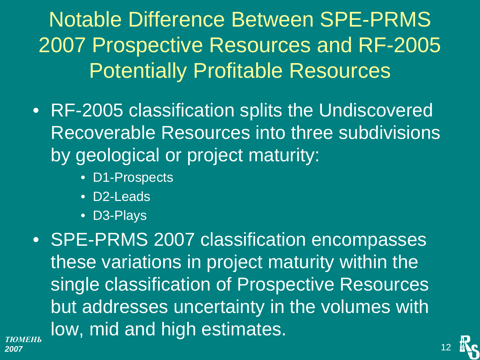Notable Difference Between SPE-PRMS 2007 Prospective Resources and RF-2005 Potentially Profitable Resources

- RF-2005 classification splits the Undiscovered Recoverable Resources into three subdivisions by geological or project maturity:
	- D1-Prospects
	- D2-Leads
	- D3-Plays

• SPE-PRMS 2007 classification encompasses these variations in project maturity within the single classification of Prospective Resources but addresses uncertainty in the volumes with low, mid and high estimates.

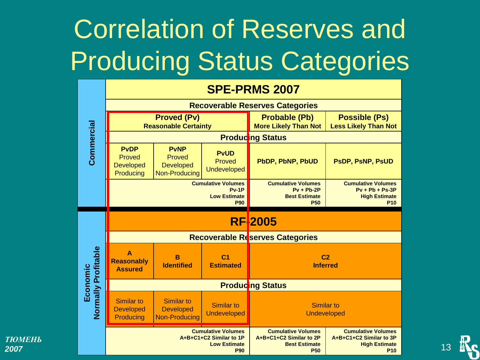## Correlation of Reserves and **Producing Status Categories**

|                     | <b>SPE-PRMS 2007</b>                                                                      |                                                                   |                                                     |                                                                                            |                                                                                            |  |
|---------------------|-------------------------------------------------------------------------------------------|-------------------------------------------------------------------|-----------------------------------------------------|--------------------------------------------------------------------------------------------|--------------------------------------------------------------------------------------------|--|
|                     | <b>Recoverable Reserves Categories</b>                                                    |                                                                   |                                                     |                                                                                            |                                                                                            |  |
|                     | <b>Proved (Pv)</b><br><b>Reasonable Certainty</b>                                         |                                                                   | <b>Probable (Pb)</b><br><b>More Likely Than Not</b> | <b>Possible (Ps)</b><br><b>Less Likely Than Not</b>                                        |                                                                                            |  |
| Commercial          | <b>Producing Status</b>                                                                   |                                                                   |                                                     |                                                                                            |                                                                                            |  |
|                     | <b>PvDP</b><br>Proved<br><b>Developed</b><br>Producing                                    | <b>PvNP</b><br>Proved<br><b>Developed</b><br><b>Non-Producing</b> | <b>PvUD</b><br>Proved<br>Undeveloped                | <b>PbDP, PbNP, PbUD</b>                                                                    | PSDP, PSNP, PSUD                                                                           |  |
|                     | <b>Cumulative Volumes</b><br>$Pv-1P$<br><b>Low Estimate</b><br><b>P90</b>                 |                                                                   |                                                     | <b>Cumulative Volumes</b><br>$Pv + Pb-2P$<br><b>Best Estimate</b><br><b>P50</b>            | <b>Cumulative Volumes</b><br>$Py + Pb + Ps-3P$<br><b>High Estimate</b><br>P10              |  |
| Normally Profitable | <b>RF2005</b>                                                                             |                                                                   |                                                     |                                                                                            |                                                                                            |  |
|                     | <b>Recoverable Reserves Categories</b>                                                    |                                                                   |                                                     |                                                                                            |                                                                                            |  |
|                     | $\blacktriangle$<br><b>Reasonably</b><br><b>Assured</b>                                   | B<br><b>Identified</b>                                            | C <sub>1</sub><br><b>Estimated</b>                  | C <sub>2</sub><br><b>Inferred</b>                                                          |                                                                                            |  |
| Economic            | <b>Producing Status</b>                                                                   |                                                                   |                                                     |                                                                                            |                                                                                            |  |
|                     | Similar to<br><b>Developed</b><br>Producing                                               | <b>Similar to</b><br><b>Developed</b><br><b>Non-Producing</b>     | <b>Similar to</b><br><b>Undeveloped</b>             | <b>Similar to</b><br><b>Undeveloped</b>                                                    |                                                                                            |  |
|                     | <b>Cumulative Volumes</b><br>A+B+C1+C2 Similar to 1P<br><b>Low Estimate</b><br><b>P90</b> |                                                                   |                                                     | <b>Cumulative Volumes</b><br>A+B+C1+C2 Similar to 2P<br><b>Best Estimate</b><br><b>P50</b> | <b>Cumulative Volumes</b><br>A+B+C1+C2 Similar to 3P<br><b>High Estimate</b><br><b>P10</b> |  |

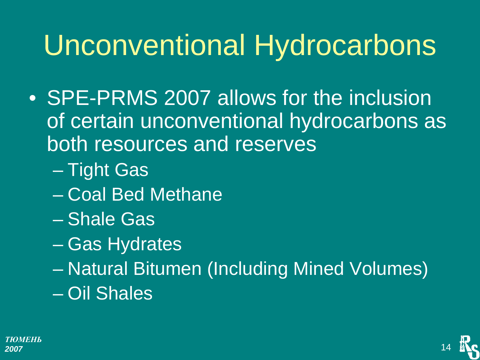## Unconventional Hydrocarbons

- SPE-PRMS 2007 allows for the inclusion of certain unconventional hydrocarbons as both resources and reserves
	- $\mathcal{L}_{\mathcal{A}}$ Tight Gas
	- Coal Bed Methane
	- Shale Gas
	- $\mathcal{L}_{\mathcal{A}}$ Gas Hydrates
	- Natural Bitumen (Including Mined Volumes) – Oil Shales

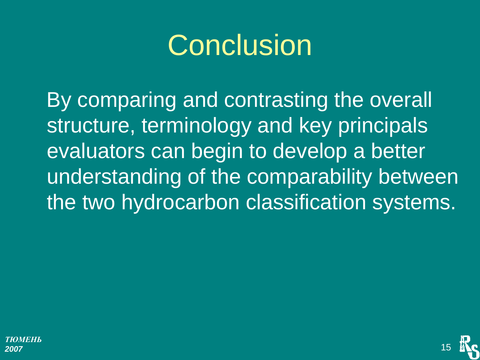## **Conclusion**

By comparing and contrasting the overall structure, terminology and key principals evaluators can begin to develop a better understanding of the comparability between the two hydrocarbon classification systems.